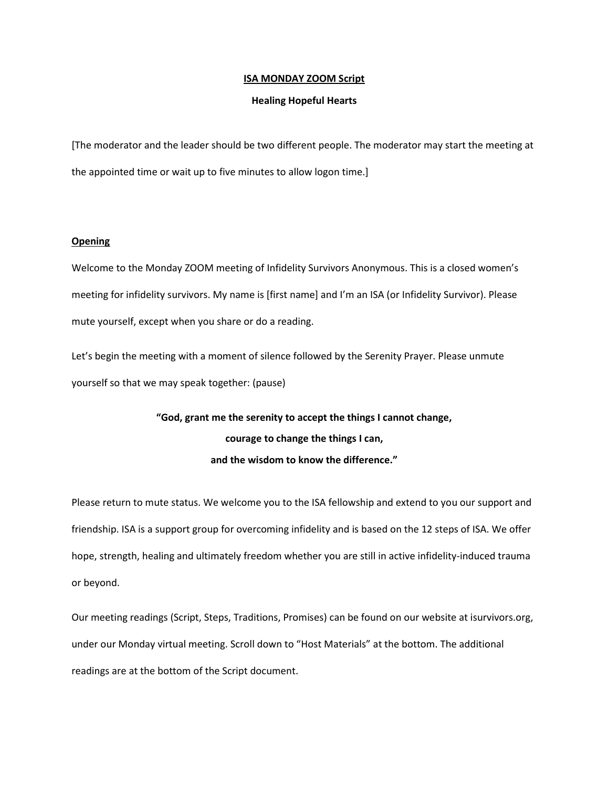#### **ISA MONDAY ZOOM Script**

#### **Healing Hopeful Hearts**

[The moderator and the leader should be two different people. The moderator may start the meeting at the appointed time or wait up to five minutes to allow logon time.]

## **Opening**

Welcome to the Monday ZOOM meeting of Infidelity Survivors Anonymous. This is a closed women's meeting for infidelity survivors. My name is [first name] and I'm an ISA (or Infidelity Survivor). Please mute yourself, except when you share or do a reading.

Let's begin the meeting with a moment of silence followed by the Serenity Prayer. Please unmute yourself so that we may speak together: (pause)

# **"God, grant me the serenity to accept the things I cannot change, courage to change the things I can, and the wisdom to know the difference."**

Please return to mute status. We welcome you to the ISA fellowship and extend to you our support and friendship. ISA is a support group for overcoming infidelity and is based on the 12 steps of ISA. We offer hope, strength, healing and ultimately freedom whether you are still in active infidelity-induced trauma or beyond.

Our meeting readings (Script, Steps, Traditions, Promises) can be found on our website at isurvivors.org, under our Monday virtual meeting. Scroll down to "Host Materials" at the bottom. The additional readings are at the bottom of the Script document.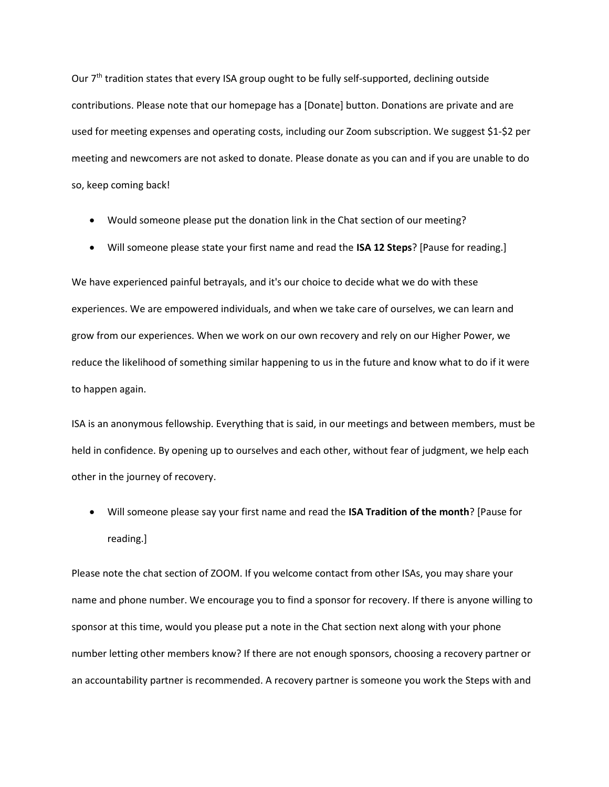Our  $7<sup>th</sup>$  tradition states that every ISA group ought to be fully self-supported, declining outside contributions. Please note that our homepage has a [Donate] button. Donations are private and are used for meeting expenses and operating costs, including our Zoom subscription. We suggest \$1-\$2 per meeting and newcomers are not asked to donate. Please donate as you can and if you are unable to do so, keep coming back!

- Would someone please put the donation link in the Chat section of our meeting?
- Will someone please state your first name and read the **ISA 12 Steps**? [Pause for reading.]

We have experienced painful betrayals, and it's our choice to decide what we do with these experiences. We are empowered individuals, and when we take care of ourselves, we can learn and grow from our experiences. When we work on our own recovery and rely on our Higher Power, we reduce the likelihood of something similar happening to us in the future and know what to do if it were to happen again.

ISA is an anonymous fellowship. Everything that is said, in our meetings and between members, must be held in confidence. By opening up to ourselves and each other, without fear of judgment, we help each other in the journey of recovery.

**•** Will someone please say your first name and read the **ISA Tradition of the month**? [Pause for reading.]

Please note the chat section of ZOOM. If you welcome contact from other ISAs, you may share your name and phone number. We encourage you to find a sponsor for recovery. If there is anyone willing to sponsor at this time, would you please put a note in the Chat section next along with your phone number letting other members know? If there are not enough sponsors, choosing a recovery partner or an accountability partner is recommended. A recovery partner is someone you work the Steps with and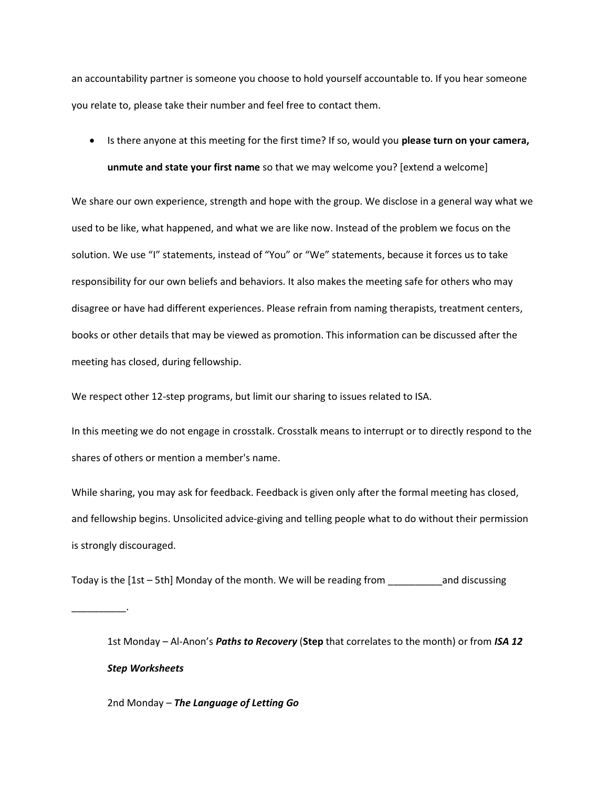an accountability partner is someone you choose to hold yourself accountable to. If you hear someone you relate to, please take their number and feel free to contact them.

**Example 3** Is there anyone at this meeting for the first time? If so, would you **please turn on your camera, unmute and state your first name** so that we may welcome you? [extend a welcome]

We share our own experience, strength and hope with the group. We disclose in a general way what we used to be like, what happened, and what we are like now. Instead of the problem we focus on the solution. We use "I" statements, instead of "You" or "We" statements, because it forces us to take responsibility for our own beliefs and behaviors. It also makes the meeting safe for others who may disagree or have had different experiences. Please refrain from naming therapists, treatment centers, books or other details that may be viewed as promotion. This information can be discussed after the meeting has closed, during fellowship.

We respect other 12-step programs, but limit our sharing to issues related to ISA.

In this meeting we do not engage in crosstalk. Crosstalk means to interrupt or to directly respond to the shares of others or mention a member's name.

While sharing, you may ask for feedback. Feedback is given only after the formal meeting has closed, and fellowship begins. Unsolicited advice-giving and telling people what to do without their permission is strongly discouraged.

Today is the [1st – 5th] Monday of the month. We will be reading from and discussing

1st Monday – Al-Anon's *Paths to Recovery* (**Step** that correlates to the month) or from *ISA 12 Step Worksheets*

2nd Monday – *The Language of Letting Go* 

\_\_\_\_\_\_\_\_\_\_.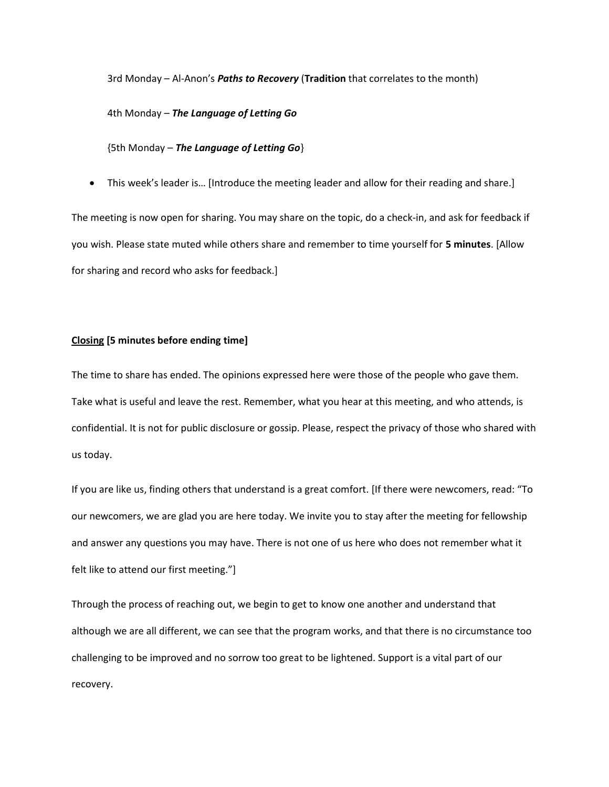3rd Monday – Al-Anon's *Paths to Recovery* (**Tradition** that correlates to the month)

4th Monday – *The Language of Letting Go* 

{5th Monday – *The Language of Letting Go*}

• This week's leader is... [Introduce the meeting leader and allow for their reading and share.]

The meeting is now open for sharing. You may share on the topic, do a check-in, and ask for feedback if you wish. Please state muted while others share and remember to time yourself for **5 minutes**. [Allow for sharing and record who asks for feedback.]

## **Closing [5 minutes before ending time]**

The time to share has ended. The opinions expressed here were those of the people who gave them. Take what is useful and leave the rest. Remember, what you hear at this meeting, and who attends, is confidential. It is not for public disclosure or gossip. Please, respect the privacy of those who shared with us today.

If you are like us, finding others that understand is a great comfort. [If there were newcomers, read: "To our newcomers, we are glad you are here today. We invite you to stay after the meeting for fellowship and answer any questions you may have. There is not one of us here who does not remember what it felt like to attend our first meeting."]

Through the process of reaching out, we begin to get to know one another and understand that although we are all different, we can see that the program works, and that there is no circumstance too challenging to be improved and no sorrow too great to be lightened. Support is a vital part of our recovery.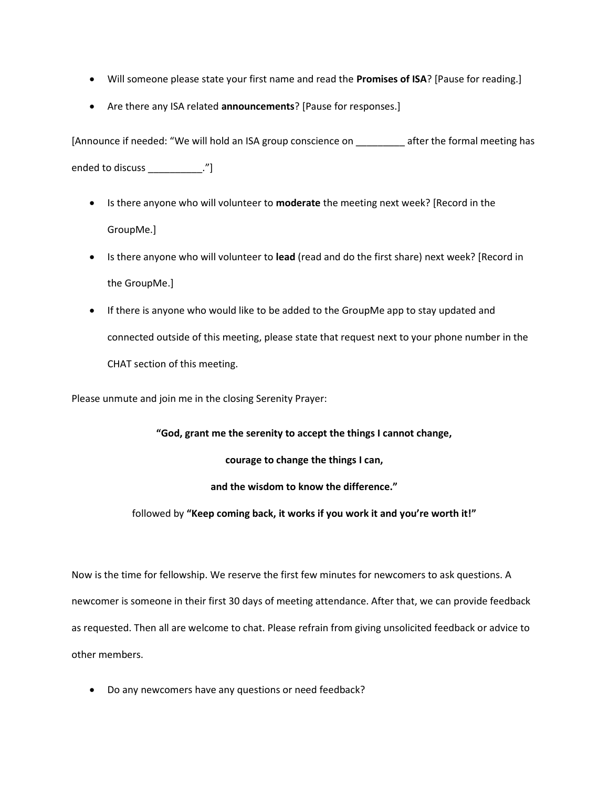- **•** Will someone please state your first name and read the **Promises of ISA**? [Pause for reading.]
- **•** Are there any ISA related **announcements**? [Pause for responses.]

[Announce if needed: "We will hold an ISA group conscience on \_\_\_\_\_\_\_\_\_ after the formal meeting has ended to discuss \_\_\_\_\_\_\_\_\_\_\_."]

- **•** Is there anyone who will volunteer to **moderate** the meeting next week? [Record in the GroupMe.]
- x Is there anyone who will volunteer to **lead** (read and do the first share) next week? [Record in the GroupMe.]
- If there is anyone who would like to be added to the GroupMe app to stay updated and connected outside of this meeting, please state that request next to your phone number in the CHAT section of this meeting.

Please unmute and join me in the closing Serenity Prayer:

**"God, grant me the serenity to accept the things I cannot change,** 

**courage to change the things I can,** 

# **and the wisdom to know the difference."**

# followed by **"Keep coming back, it works if you work it and you're worth it!"**

Now is the time for fellowship. We reserve the first few minutes for newcomers to ask questions. A newcomer is someone in their first 30 days of meeting attendance. After that, we can provide feedback as requested. Then all are welcome to chat. Please refrain from giving unsolicited feedback or advice to other members.

• Do any newcomers have any questions or need feedback?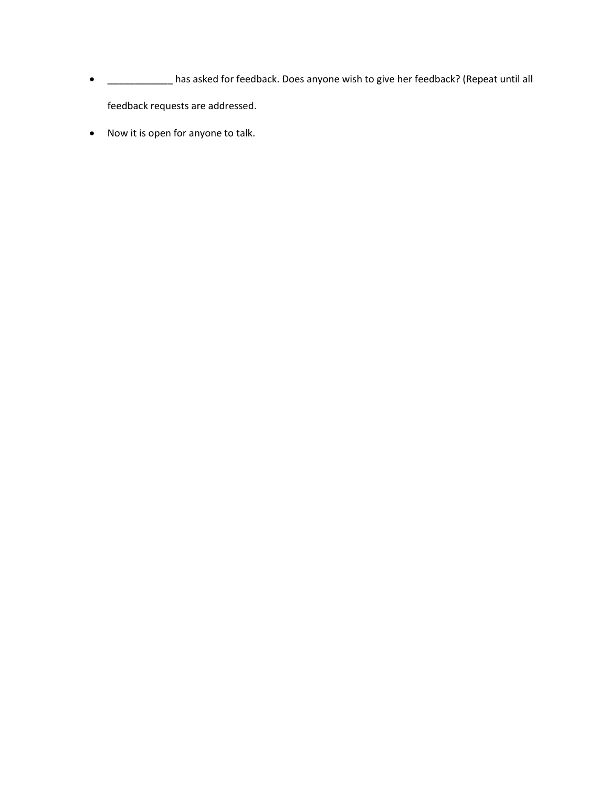- \_\_\_\_\_\_\_\_\_\_\_\_\_ has asked for feedback. Does anyone wish to give her feedback? (Repeat until all feedback requests are addressed.
- Now it is open for anyone to talk.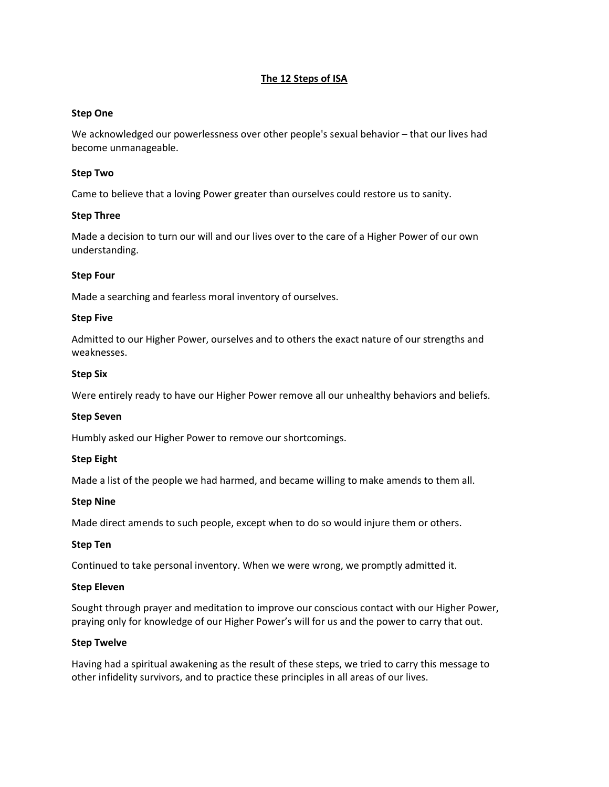# **The 12 Steps of ISA**

## **Step One**

We acknowledged our powerlessness over other people's sexual behavior – that our lives had become unmanageable.

## **Step Two**

Came to believe that a loving Power greater than ourselves could restore us to sanity.

## **Step Three**

Made a decision to turn our will and our lives over to the care of a Higher Power of our own understanding.

## **Step Four**

Made a searching and fearless moral inventory of ourselves.

## **Step Five**

Admitted to our Higher Power, ourselves and to others the exact nature of our strengths and weaknesses.

## **Step Six**

Were entirely ready to have our Higher Power remove all our unhealthy behaviors and beliefs.

## **Step Seven**

Humbly asked our Higher Power to remove our shortcomings.

## **Step Eight**

Made a list of the people we had harmed, and became willing to make amends to them all.

## **Step Nine**

Made direct amends to such people, except when to do so would injure them or others.

# **Step Ten**

Continued to take personal inventory. When we were wrong, we promptly admitted it.

## **Step Eleven**

Sought through prayer and meditation to improve our conscious contact with our Higher Power, praying only for knowledge of our Higher Power's will for us and the power to carry that out.

## **Step Twelve**

Having had a spiritual awakening as the result of these steps, we tried to carry this message to other infidelity survivors, and to practice these principles in all areas of our lives.